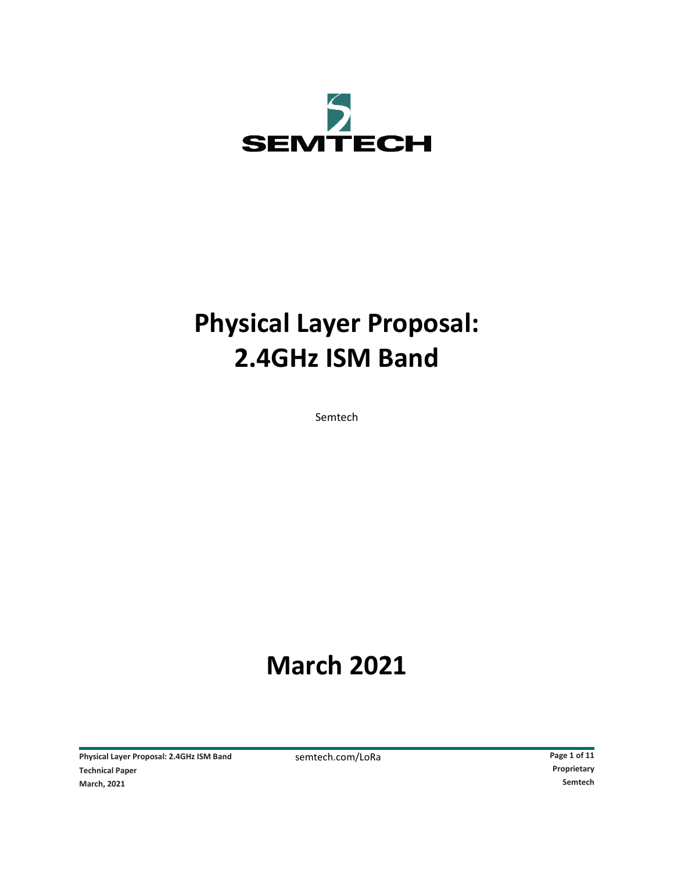

# **Physical Layer Proposal: 2.4GHz ISM Band**

Semtech

# **March 2021**

Physical Layer Proposal: 2.4GHz ISM Band<br>
Technical Paper<br> **Proprietary**Proprietary

Proprietary

Poprietary **Proprietary**Proprietary **Proprietary Proprietary Proprietary Proprietary Proprietary Propri Technical Paper March, 2021 Semtech**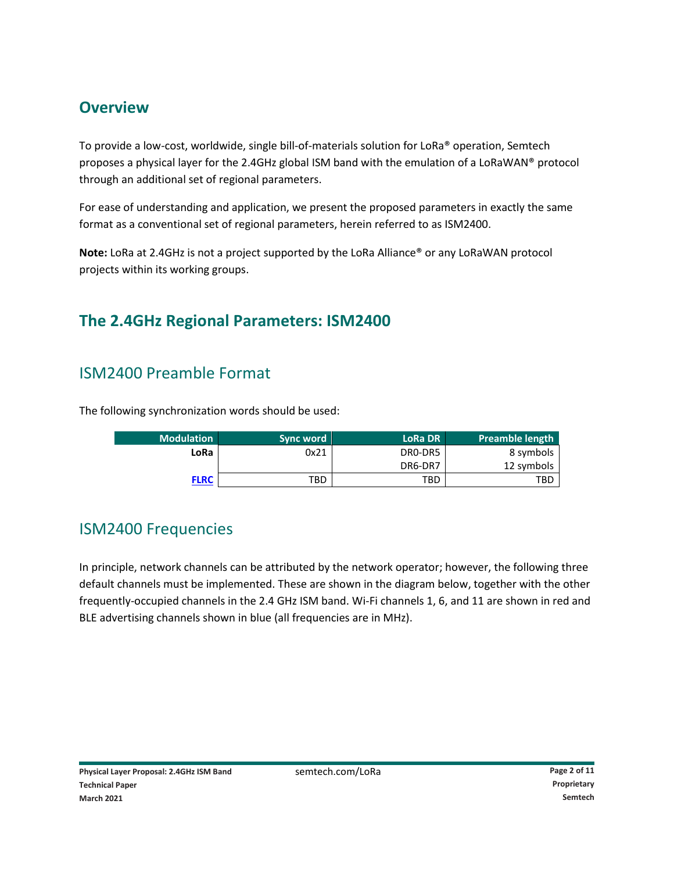# **Overview**

To provide a low-cost, worldwide, single bill-of-materials solution for LoRa® operation, Semtech proposes a physical layer for the 2.4GHz global ISM band with the emulation of a LoRaWAN® protocol through an additional set of regional parameters.

For ease of understanding and application, we present the proposed parameters in exactly the same format as a conventional set of regional parameters, herein referred to as ISM2400.

**Note:** LoRa at 2.4GHz is not a project supported by the LoRa Alliance® or any LoRaWAN protocol projects within its working groups.

# **The 2.4GHz Regional Parameters: ISM2400**

# ISM2400 Preamble Format

The following synchronization words should be used:

| <b>Modulation</b> | Sync word | <b>LoRa DR</b> | Preamble length |
|-------------------|-----------|----------------|-----------------|
| LoRa              | 0x21      | DRO-DR5        | 8 symbols       |
|                   |           | DR6-DR7        | 12 symbols      |
| <b>FLRC</b>       | TBD       | TBD            | TBD             |

### ISM2400 Frequencies

In principle, network channels can be attributed by the network operator; however, the following three default channels must be implemented. These are shown in the diagram below, together with the other frequently-occupied channels in the 2.4 GHz ISM band. Wi-Fi channels 1, 6, and 11 are shown in red and BLE advertising channels shown in blue (all frequencies are in MHz).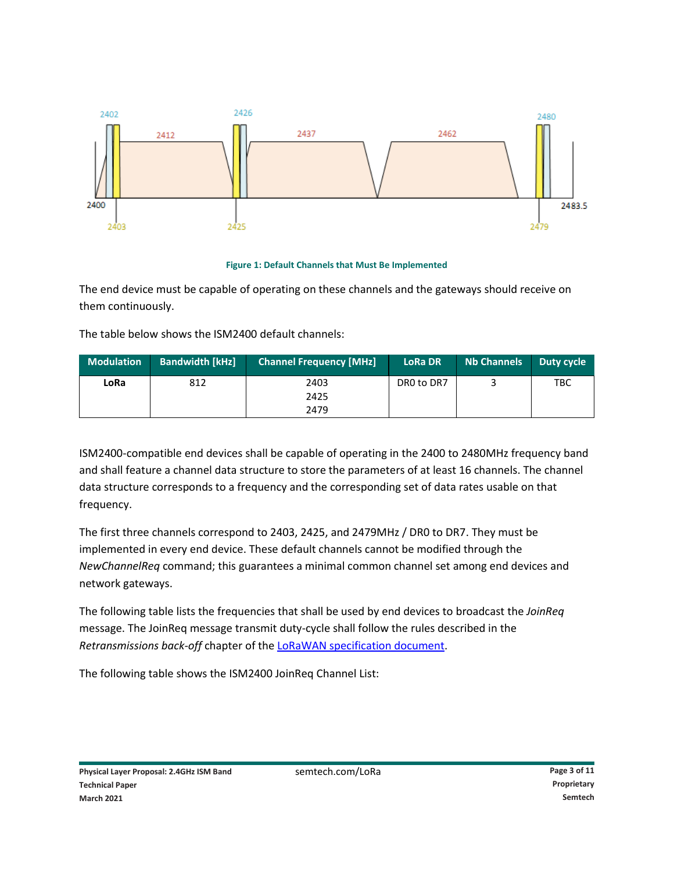

#### **Figure 1: Default Channels that Must Be Implemented**

The end device must be capable of operating on these channels and the gateways should receive on them continuously.

The table below shows the ISM2400 default channels:

| <b>Modulation</b> | <b>Bandwidth [kHz]</b> | Channel Frequency [MHz] | <b>LoRa DR</b> | <b>Nb Channels</b> | Duty cycle |
|-------------------|------------------------|-------------------------|----------------|--------------------|------------|
| LoRa              | 812                    | 2403<br>2425            | DRO to DR7     |                    | TBC        |
|                   |                        | 2479                    |                |                    |            |

ISM2400-compatible end devices shall be capable of operating in the 2400 to 2480MHz frequency band and shall feature a channel data structure to store the parameters of at least 16 channels. The channel data structure corresponds to a frequency and the corresponding set of data rates usable on that frequency.

The first three channels correspond to 2403, 2425, and 2479MHz / DR0 to DR7. They must be implemented in every end device. These default channels cannot be modified through the *NewChannelReq* command; this guarantees a minimal common channel set among end devices and network gateways.

The following table lists the frequencies that shall be used by end devices to broadcast the *JoinReq* message. The JoinReq message transmit duty-cycle shall follow the rules described in the *Retransmissions back-off* chapter of the [LoRaWAN specification document.](https://lora-alliance.org/resource_hub/lorawan-specification-v1-1/)

The following table shows the ISM2400 JoinReq Channel List: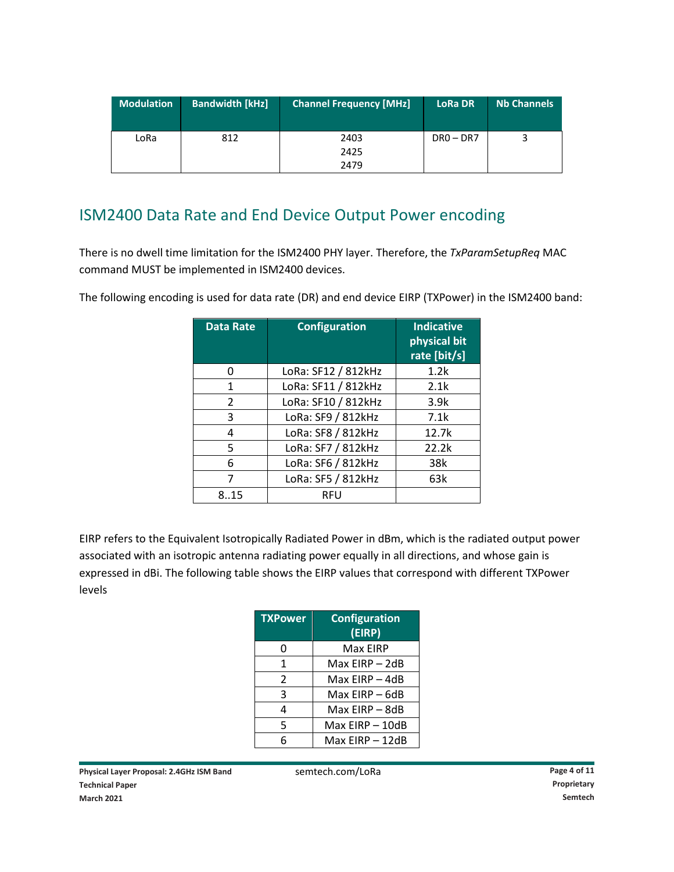| <b>Modulation</b> | <b>Bandwidth [kHz]</b> | <b>Channel Frequency [MHz]</b> | <b>LoRa DR</b> | <b>Nb Channels</b> |
|-------------------|------------------------|--------------------------------|----------------|--------------------|
| LoRa              | 812                    | 2403                           | $DR0 - DR7$    |                    |
|                   |                        | 2425                           |                |                    |
|                   |                        | 2479                           |                |                    |

# ISM2400 Data Rate and End Device Output Power encoding

There is no dwell time limitation for the ISM2400 PHY layer. Therefore, the *TxParamSetupReq* MAC command MUST be implemented in ISM2400 devices.

|  |  |  | The following encoding is used for data rate (DR) and end device EIRP (TXPower) in the ISM2400 band: |  |  |
|--|--|--|------------------------------------------------------------------------------------------------------|--|--|
|  |  |  |                                                                                                      |  |  |
|  |  |  |                                                                                                      |  |  |

| <b>Data Rate</b> | <b>Configuration</b> | <b>Indicative</b><br>physical bit<br>rate [bit/s] |
|------------------|----------------------|---------------------------------------------------|
| n                | LoRa: SF12 / 812kHz  | 1.2k                                              |
| 1                | LoRa: SF11 / 812kHz  | 2.1k                                              |
| 2                | LoRa: SF10 / 812kHz  | 3.9k                                              |
| 3                | LoRa: SF9 / 812kHz   | 7.1k                                              |
| 4                | LoRa: SF8 / 812kHz   | 12.7k                                             |
| 5                | LoRa: SF7 / 812kHz   | 22.2k                                             |
| 6                | LoRa: SF6 / 812kHz   | 38k                                               |
| 7                | LoRa: SF5 / 812kHz   | 63k                                               |
| 815              | RFU                  |                                                   |

EIRP refers to the Equivalent Isotropically Radiated Power in dBm, which is the radiated output power associated with an isotropic antenna radiating power equally in all directions, and whose gain is expressed in dBi. The following table shows the EIRP values that correspond with different TXPower levels

| <b>TXPower</b> | <b>Configuration</b><br>(EIRP) |
|----------------|--------------------------------|
| 0              | Max EIRP                       |
| 1              | Max EIRP – 2dB                 |
| 2              | Max EIRP - 4dB                 |
| 3              | Max EIRP - 6dB                 |
| 4              | Max EIRP - 8dB                 |
| 5              | Max EIRP - 10dB                |
| 6              | Max EIRP - 12dB                |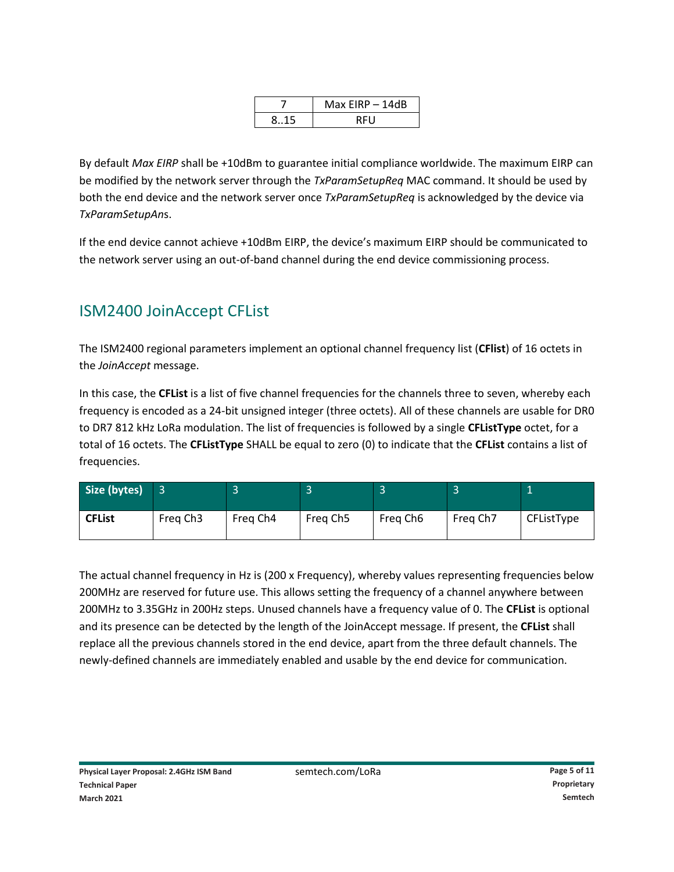|     | Max $EIRP - 14dB$ |
|-----|-------------------|
| 815 | RFU               |

By default *Max EIRP* shall be +10dBm to guarantee initial compliance worldwide. The maximum EIRP can be modified by the network server through the *TxParamSetupReq* MAC command. It should be used by both the end device and the network server once *TxParamSetupReq* is acknowledged by the device via *TxParamSetupAn*s.

If the end device cannot achieve +10dBm EIRP, the device's maximum EIRP should be communicated to the network server using an out-of-band channel during the end device commissioning process.

# ISM2400 JoinAccept CFList

The ISM2400 regional parameters implement an optional channel frequency list (**CFlist**) of 16 octets in the *JoinAccept* message.

In this case, the **CFList** is a list of five channel frequencies for the channels three to seven, whereby each frequency is encoded as a 24-bit unsigned integer (three octets). All of these channels are usable for DR0 to DR7 812 kHz LoRa modulation. The list of frequencies is followed by a single **CFListType** octet, for a total of 16 octets. The **CFListType** SHALL be equal to zero (0) to indicate that the **CFList** contains a list of frequencies.

| Size (bytes)  |                      |          |          |          |          |            |
|---------------|----------------------|----------|----------|----------|----------|------------|
| <b>CFList</b> | Freg Ch <sub>3</sub> | Freg Ch4 | Freg Ch5 | Freg Ch6 | Freg Ch7 | CFListType |

The actual channel frequency in Hz is (200 x Frequency), whereby values representing frequencies below 200MHz are reserved for future use. This allows setting the frequency of a channel anywhere between 200MHz to 3.35GHz in 200Hz steps. Unused channels have a frequency value of 0. The **CFList** is optional and its presence can be detected by the length of the JoinAccept message. If present, the **CFList** shall replace all the previous channels stored in the end device, apart from the three default channels. The newly-defined channels are immediately enabled and usable by the end device for communication.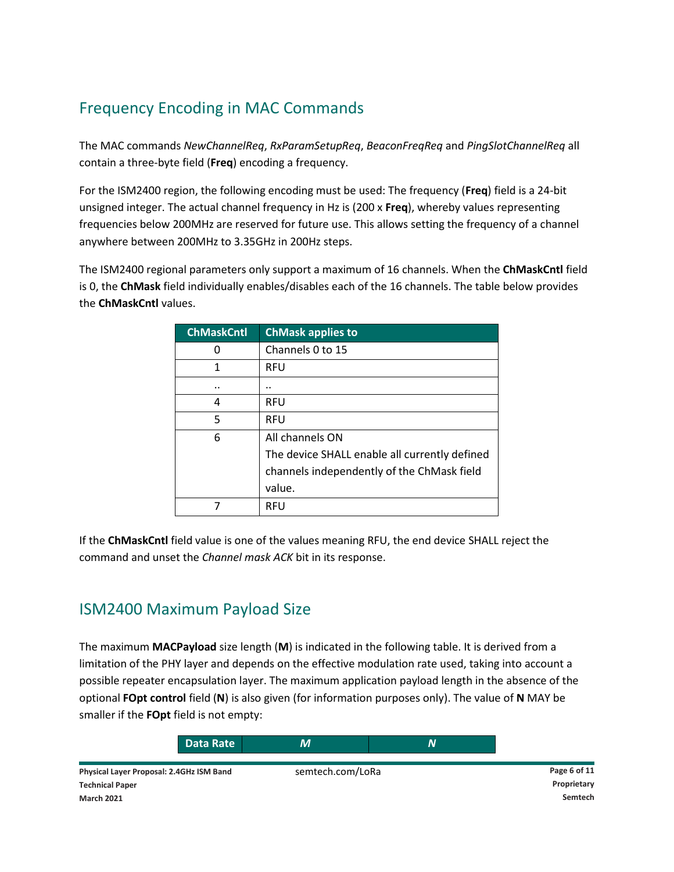# Frequency Encoding in MAC Commands

The MAC commands *NewChannelReq*, *RxParamSetupReq*, *BeaconFreqReq* and *PingSlotChannelReq* all contain a three-byte field (**Freq**) encoding a frequency.

For the ISM2400 region, the following encoding must be used: The frequency (**Freq**) field is a 24-bit unsigned integer. The actual channel frequency in Hz is (200 x **Freq**), whereby values representing frequencies below 200MHz are reserved for future use. This allows setting the frequency of a channel anywhere between 200MHz to 3.35GHz in 200Hz steps.

The ISM2400 regional parameters only support a maximum of 16 channels. When the **ChMaskCntl** field is 0, the **ChMask** field individually enables/disables each of the 16 channels. The table below provides the **ChMaskCntl** values.

| <b>ChMaskCntl</b> | <b>ChMask applies to</b>                      |
|-------------------|-----------------------------------------------|
| O                 | Channels 0 to 15                              |
| 1                 | <b>RFU</b>                                    |
|                   |                                               |
| 4                 | <b>RFU</b>                                    |
| 5                 | <b>RFU</b>                                    |
| 6                 | All channels ON                               |
|                   | The device SHALL enable all currently defined |
|                   | channels independently of the ChMask field    |
|                   | value.                                        |
|                   | RFU                                           |

If the **ChMaskCntl** field value is one of the values meaning RFU, the end device SHALL reject the command and unset the *Channel mask ACK* bit in its response.

### ISM2400 Maximum Payload Size

The maximum **MACPayload** size length (**M**) is indicated in the following table. It is derived from a limitation of the PHY layer and depends on the effective modulation rate used, taking into account a possible repeater encapsulation layer. The maximum application payload length in the absence of the optional **FOpt control** field (**N**) is also given (for information purposes only). The value of **N** MAY be smaller if the **FOpt** field is not empty:

| Data Rate                                | М                |              |
|------------------------------------------|------------------|--------------|
| Physical Layer Proposal: 2.4GHz ISM Band | semtech.com/LoRa | Page 6 of 11 |
| <b>Technical Paper</b>                   |                  | Proprietary  |
| <b>March 2021</b>                        |                  | Semtech      |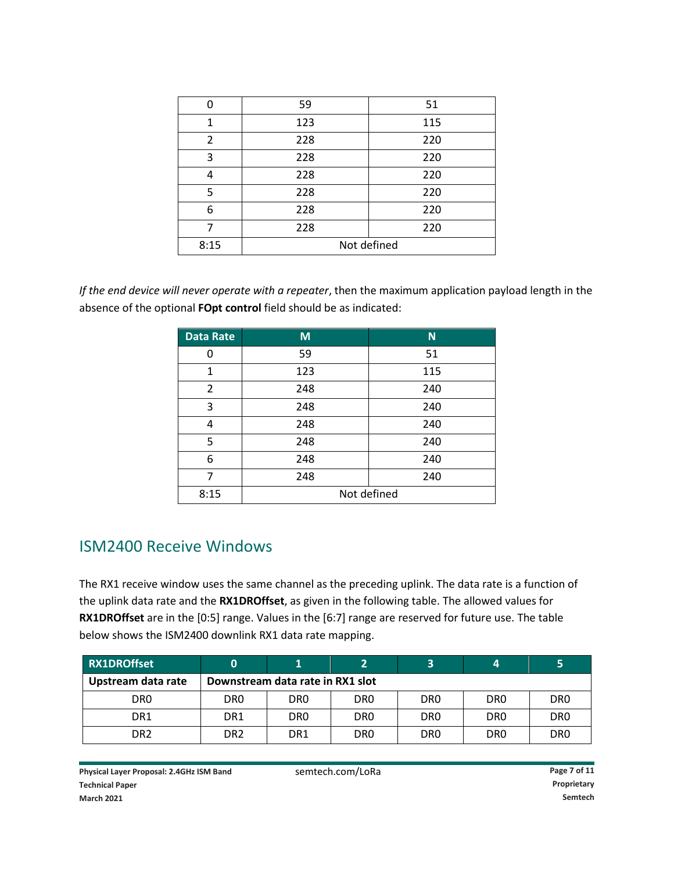|      | 59          | 51  |  |
|------|-------------|-----|--|
| 1    | 123         | 115 |  |
| 2    | 228         | 220 |  |
| 3    | 228         | 220 |  |
|      | 228         | 220 |  |
| 5    | 228         | 220 |  |
| 6    | 228         | 220 |  |
|      | 228         | 220 |  |
| 8:15 | Not defined |     |  |

*If the end device will never operate with a repeater*, then the maximum application payload length in the absence of the optional **FOpt control** field should be as indicated:

| <b>Data Rate</b> | M           | N <sub>1</sub> |  |  |
|------------------|-------------|----------------|--|--|
| 0                | 59          | 51             |  |  |
| 1                | 123         | 115            |  |  |
| 2                | 248         | 240            |  |  |
| 3                | 248         | 240            |  |  |
| 4                | 248         | 240            |  |  |
| 5                | 248         | 240            |  |  |
| 6                | 248         | 240            |  |  |
| 7                | 248         | 240            |  |  |
| 8:15             | Not defined |                |  |  |

#### ISM2400 Receive Windows

The RX1 receive window uses the same channel as the preceding uplink. The data rate is a function of the uplink data rate and the **RX1DROffset**, as given in the following table. The allowed values for **RX1DROffset** are in the [0:5] range. Values in the [6:7] range are reserved for future use. The table below shows the ISM2400 downlink RX1 data rate mapping.

| <b>RX1DROffset</b> | 0                                |                 |                 |                 |                  |                 |
|--------------------|----------------------------------|-----------------|-----------------|-----------------|------------------|-----------------|
| Upstream data rate | Downstream data rate in RX1 slot |                 |                 |                 |                  |                 |
| DR <sub>0</sub>    | DR <sub>0</sub>                  | DR0             | DR <sub>0</sub> | DR <sub>0</sub> | D <sub>R</sub> O | DR <sub>0</sub> |
| DR <sub>1</sub>    | DR <sub>1</sub>                  | DR <sub>0</sub> | DR <sub>0</sub> | DR <sub>0</sub> | D <sub>R</sub> O | DR <sub>0</sub> |
| DR <sub>2</sub>    | DR <sub>2</sub>                  | DR <sub>1</sub> | DR <sub>0</sub> | DR <sub>0</sub> | D <sub>R</sub> O | DR <sub>0</sub> |

Physical Layer Proposal: 2.4GHz ISM Band<br>
Semtech.com/LoRa **Page 7** of 11 **Technical Paper Proprietary March 2021 Semtech**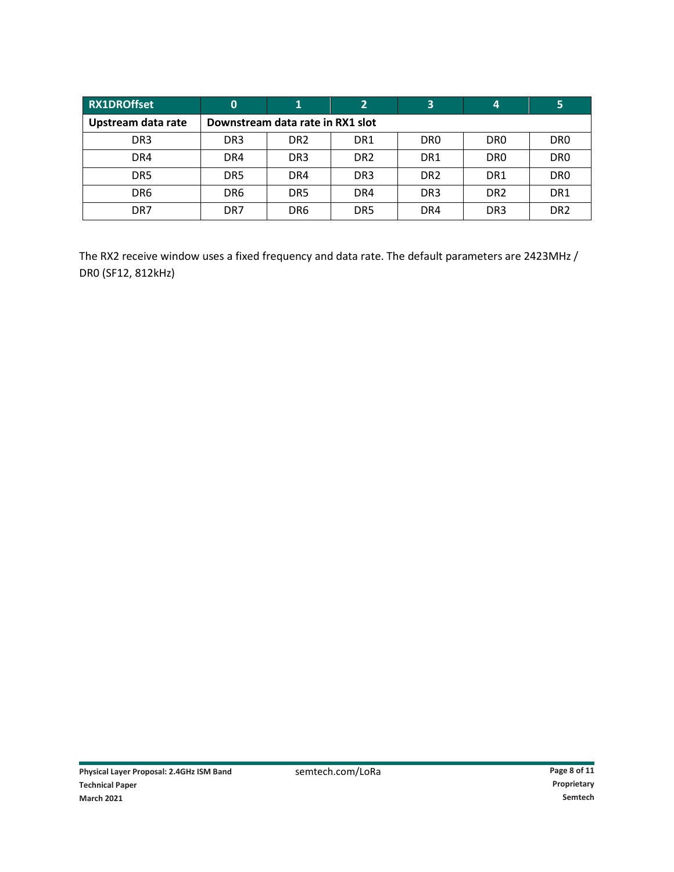| <b>RX1DROffset</b> | 0                                |                 |                 |                 | 4                | 5                |
|--------------------|----------------------------------|-----------------|-----------------|-----------------|------------------|------------------|
| Upstream data rate | Downstream data rate in RX1 slot |                 |                 |                 |                  |                  |
| DR <sub>3</sub>    | DR <sub>3</sub>                  | DR <sub>2</sub> | DR <sub>1</sub> | DR <sub>0</sub> | D <sub>R</sub> O | D <sub>R</sub> O |
| DR4                | DR4                              | DR <sub>3</sub> | DR <sub>2</sub> | DR <sub>1</sub> | D <sub>R</sub> O | D <sub>R</sub> O |
| DR5                | DR <sub>5</sub>                  | DR4             | DR <sub>3</sub> | DR <sub>2</sub> | DR <sub>1</sub>  | DR <sub>0</sub>  |
| DR <sub>6</sub>    | DR <sub>6</sub>                  | DR <sub>5</sub> | DR4             | DR <sub>3</sub> | DR <sub>2</sub>  | DR1              |
| DR7                | DR7                              | DR <sub>6</sub> | DR <sub>5</sub> | DR4             | DR <sub>3</sub>  | DR <sub>2</sub>  |

The RX2 receive window uses a fixed frequency and data rate. The default parameters are 2423MHz / DR0 (SF12, 812kHz)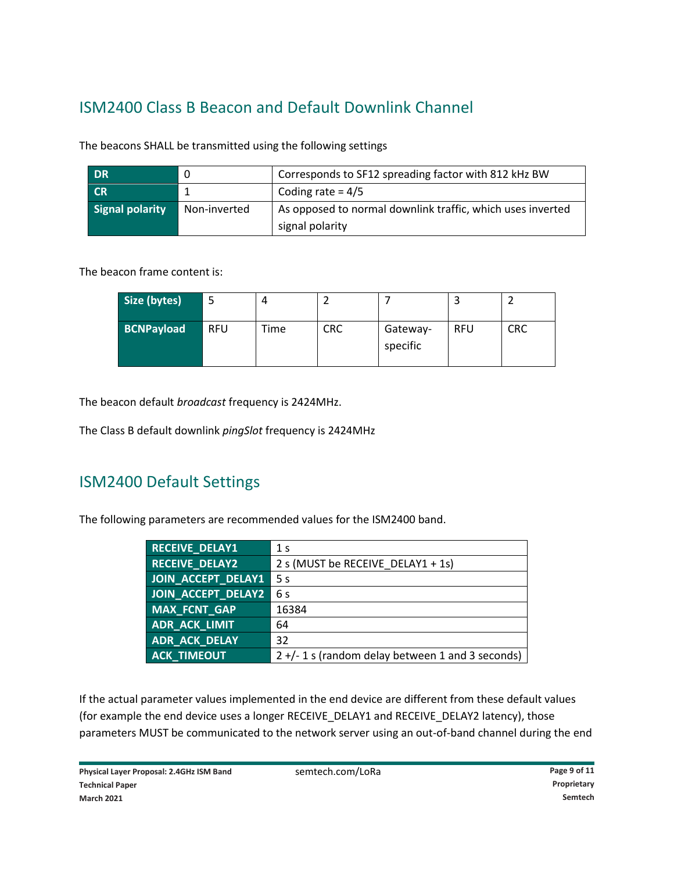# ISM2400 Class B Beacon and Default Downlink Channel

| <b>DR</b>              |              | Corresponds to SF12 spreading factor with 812 kHz BW       |
|------------------------|--------------|------------------------------------------------------------|
| <b>CR</b>              |              | Coding rate = $4/5$                                        |
| <b>Signal polarity</b> | Non-inverted | As opposed to normal downlink traffic, which uses inverted |
|                        |              | signal polarity                                            |

The beacons SHALL be transmitted using the following settings

The beacon frame content is:

| Size (bytes)      |            |      |            |                      |            |            |
|-------------------|------------|------|------------|----------------------|------------|------------|
| <b>BCNPayload</b> | <b>RFU</b> | Time | <b>CRC</b> | Gateway-<br>specific | <b>RFU</b> | <b>CRC</b> |

The beacon default *broadcast* frequency is 2424MHz.

The Class B default downlink *pingSlot* frequency is 2424MHz

### ISM2400 Default Settings

The following parameters are recommended values for the ISM2400 band.

| <b>RECEIVE_DELAY1</b> | 1 <sub>s</sub>                                     |
|-----------------------|----------------------------------------------------|
| <b>RECEIVE DELAY2</b> | 2 s (MUST be RECEIVE DELAY1 + 1s)                  |
| JOIN ACCEPT DELAY1    | 5 <sub>s</sub>                                     |
| JOIN ACCEPT DELAY2    | 6 s                                                |
| MAX_FCNT_GAP          | 16384                                              |
| ADR_ACK_LIMIT         | 64                                                 |
| <b>ADR_ACK_DELAY</b>  | 32                                                 |
| <b>ACK TIMEOUT</b>    | $2 +/- 1$ s (random delay between 1 and 3 seconds) |

If the actual parameter values implemented in the end device are different from these default values (for example the end device uses a longer RECEIVE\_DELAY1 and RECEIVE\_DELAY2 latency), those parameters MUST be communicated to the network server using an out-of-band channel during the end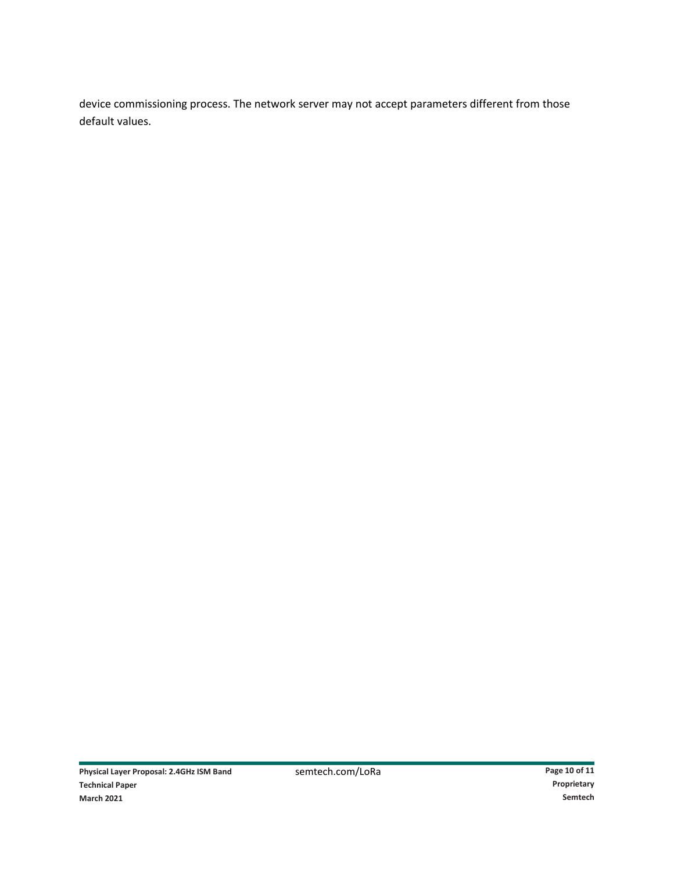device commissioning process. The network server may not accept parameters different from those default values.